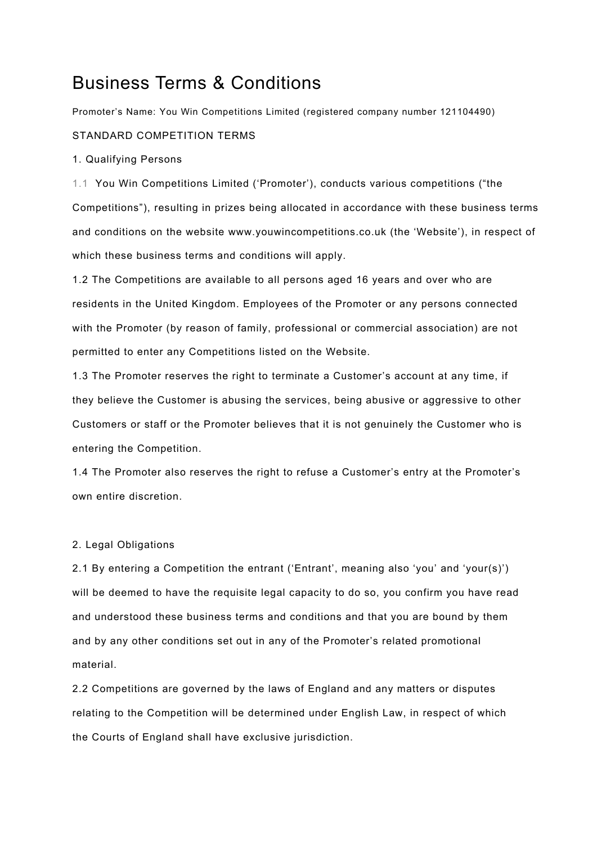# Business Terms & Conditions

Promoter's Name: You Win Competitions Limited (registered company number 121104490)

# STANDARD COMPETITION TERMS

## 1. Qualifying Persons

1.1 You Win Competitions Limited ('Promoter'), conducts various competitions ("the Competitions"), resulting in prizes being allocated in accordance with these business terms and conditions on the website www.youwincompetitions.co.uk (the 'Website'), in respect of which these business terms and conditions will apply.

1.2 The Competitions are available to all persons aged 16 years and over who are residents in the United Kingdom. Employees of the Promoter or any persons connected with the Promoter (by reason of family, professional or commercial association) are not permitted to enter any Competitions listed on the Website.

1.3 The Promoter reserves the right to terminate a Customer's account at any time, if they believe the Customer is abusing the services, being abusive or aggressive to other Customers or staff or the Promoter believes that it is not genuinely the Customer who is entering the Competition.

1.4 The Promoter also reserves the right to refuse a Customer's entry at the Promoter's own entire discretion.

## 2. Legal Obligations

2.1 By entering a Competition the entrant ('Entrant', meaning also 'you' and 'your(s)') will be deemed to have the requisite legal capacity to do so, you confirm you have read and understood these business terms and conditions and that you are bound by them and by any other conditions set out in any of the Promoter's related promotional material.

2.2 Competitions are governed by the laws of England and any matters or disputes relating to the Competition will be determined under English Law, in respect of which the Courts of England shall have exclusive jurisdiction.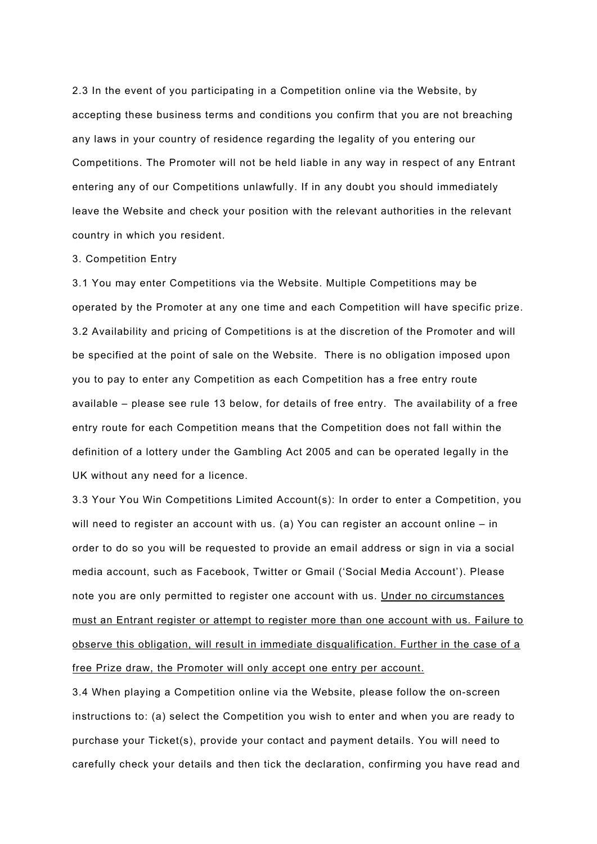2.3 In the event of you participating in a Competition online via the Website, by accepting these business terms and conditions you confirm that you are not breaching any laws in your country of residence regarding the legality of you entering our Competitions. The Promoter will not be held liable in any way in respect of any Entrant entering any of our Competitions unlawfully. If in any doubt you should immediately leave the Website and check your position with the relevant authorities in the relevant country in which you resident.

#### 3. Competition Entry

3.1 You may enter Competitions via the Website. Multiple Competitions may be operated by the Promoter at any one time and each Competition will have specific prize. 3.2 Availability and pricing of Competitions is at the discretion of the Promoter and will be specified at the point of sale on the Website. There is no obligation imposed upon you to pay to enter any Competition as each Competition has a free entry route available – please see rule 13 below, for details of free entry. The availability of a free entry route for each Competition means that the Competition does not fall within the definition of a lottery under the Gambling Act 2005 and can be operated legally in the UK without any need for a licence.

3.3 Your You Win Competitions Limited Account(s): In order to enter a Competition, you will need to register an account with us. (a) You can register an account online – in order to do so you will be requested to provide an email address or sign in via a social media account, such as Facebook, Twitter or Gmail ('Social Media Account'). Please note you are only permitted to register one account with us. Under no circumstances must an Entrant register or attempt to register more than one account with us. Failure to observe this obligation, will result in immediate disqualification. Further in the case of a free Prize draw, the Promoter will only accept one entry per account.

3.4 When playing a Competition online via the Website, please follow the on-screen instructions to: (a) select the Competition you wish to enter and when you are ready to purchase your Ticket(s), provide your contact and payment details. You will need to carefully check your details and then tick the declaration, confirming you have read and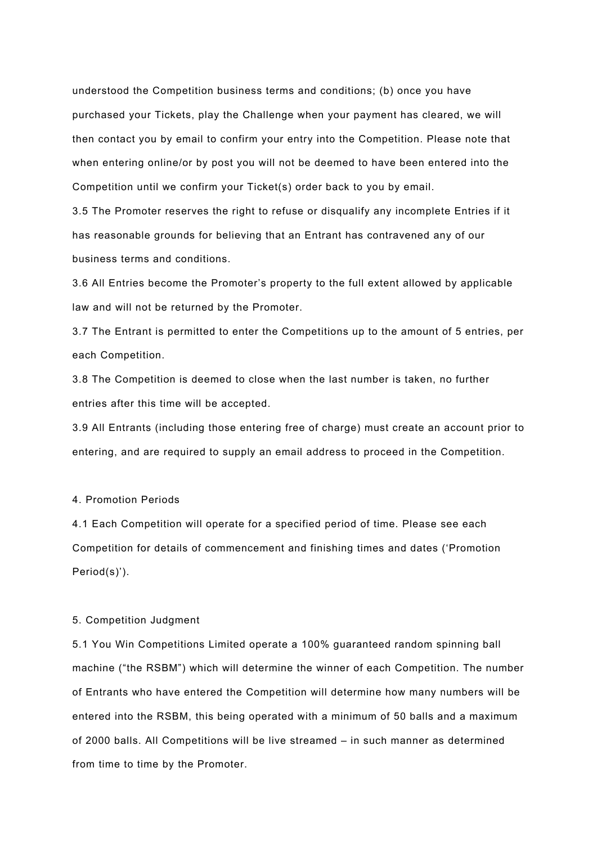understood the Competition business terms and conditions; (b) once you have purchased your Tickets, play the Challenge when your payment has cleared, we will then contact you by email to confirm your entry into the Competition. Please note that when entering online/or by post you will not be deemed to have been entered into the Competition until we confirm your Ticket(s) order back to you by email.

3.5 The Promoter reserves the right to refuse or disqualify any incomplete Entries if it has reasonable grounds for believing that an Entrant has contravened any of our business terms and conditions.

3.6 All Entries become the Promoter's property to the full extent allowed by applicable law and will not be returned by the Promoter.

3.7 The Entrant is permitted to enter the Competitions up to the amount of 5 entries, per each Competition.

3.8 The Competition is deemed to close when the last number is taken, no further entries after this time will be accepted.

3.9 All Entrants (including those entering free of charge) must create an account prior to entering, and are required to supply an email address to proceed in the Competition.

# 4. Promotion Periods

4.1 Each Competition will operate for a specified period of time. Please see each Competition for details of commencement and finishing times and dates ('Promotion Period(s)').

## 5. Competition Judgment

5.1 You Win Competitions Limited operate a 100% guaranteed random spinning ball machine ("the RSBM") which will determine the winner of each Competition. The number of Entrants who have entered the Competition will determine how many numbers will be entered into the RSBM, this being operated with a minimum of 50 balls and a maximum of 2000 balls. All Competitions will be live streamed – in such manner as determined from time to time by the Promoter.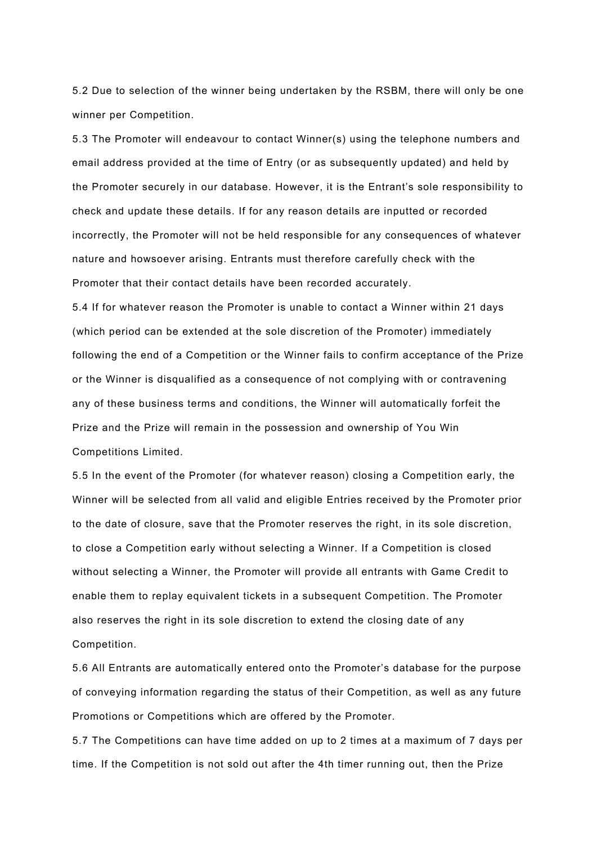5.2 Due to selection of the winner being undertaken by the RSBM, there will only be one winner per Competition.

5.3 The Promoter will endeavour to contact Winner(s) using the telephone numbers and email address provided at the time of Entry (or as subsequently updated) and held by the Promoter securely in our database. However, it is the Entrant's sole responsibility to check and update these details. If for any reason details are inputted or recorded incorrectly, the Promoter will not be held responsible for any consequences of whatever nature and howsoever arising. Entrants must therefore carefully check with the Promoter that their contact details have been recorded accurately.

5.4 If for whatever reason the Promoter is unable to contact a Winner within 21 days (which period can be extended at the sole discretion of the Promoter) immediately following the end of a Competition or the Winner fails to confirm acceptance of the Prize or the Winner is disqualified as a consequence of not complying with or contravening any of these business terms and conditions, the Winner will automatically forfeit the Prize and the Prize will remain in the possession and ownership of You Win Competitions Limited.

5.5 In the event of the Promoter (for whatever reason) closing a Competition early, the Winner will be selected from all valid and eligible Entries received by the Promoter prior to the date of closure, save that the Promoter reserves the right, in its sole discretion, to close a Competition early without selecting a Winner. If a Competition is closed without selecting a Winner, the Promoter will provide all entrants with Game Credit to enable them to replay equivalent tickets in a subsequent Competition. The Promoter also reserves the right in its sole discretion to extend the closing date of any Competition.

5.6 All Entrants are automatically entered onto the Promoter's database for the purpose of conveying information regarding the status of their Competition, as well as any future Promotions or Competitions which are offered by the Promoter.

5.7 The Competitions can have time added on up to 2 times at a maximum of 7 days per time. If the Competition is not sold out after the 4th timer running out, then the Prize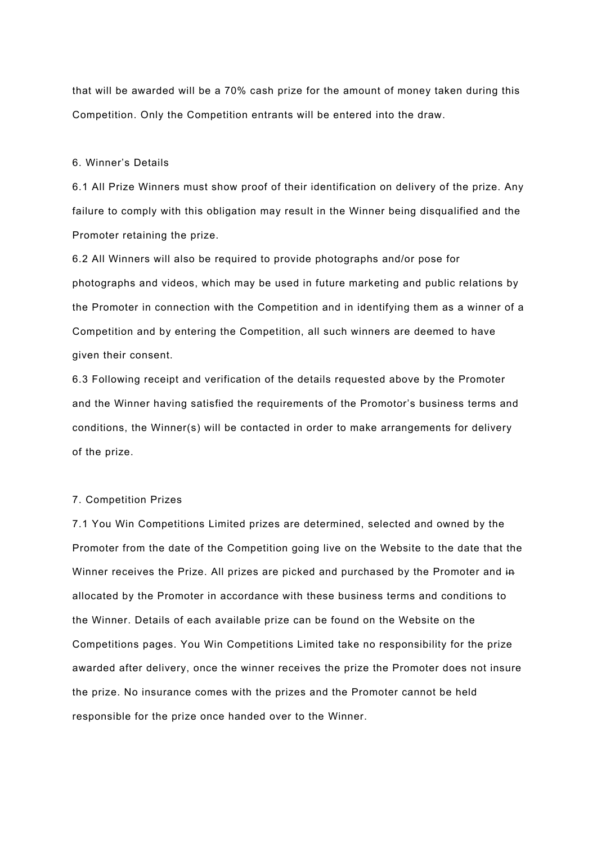that will be awarded will be a 70% cash prize for the amount of money taken during this Competition. Only the Competition entrants will be entered into the draw.

#### 6. Winner's Details

6.1 All Prize Winners must show proof of their identification on delivery of the prize. Any failure to comply with this obligation may result in the Winner being disqualified and the Promoter retaining the prize.

6.2 All Winners will also be required to provide photographs and/or pose for photographs and videos, which may be used in future marketing and public relations by the Promoter in connection with the Competition and in identifying them as a winner of a Competition and by entering the Competition, all such winners are deemed to have given their consent.

6.3 Following receipt and verification of the details requested above by the Promoter and the Winner having satisfied the requirements of the Promotor's business terms and conditions, the Winner(s) will be contacted in order to make arrangements for delivery of the prize.

#### 7. Competition Prizes

7.1 You Win Competitions Limited prizes are determined, selected and owned by the Promoter from the date of the Competition going live on the Website to the date that the Winner receives the Prize. All prizes are picked and purchased by the Promoter and in allocated by the Promoter in accordance with these business terms and conditions to the Winner. Details of each available prize can be found on the Website on the Competitions pages. You Win Competitions Limited take no responsibility for the prize awarded after delivery, once the winner receives the prize the Promoter does not insure the prize. No insurance comes with the prizes and the Promoter cannot be held responsible for the prize once handed over to the Winner.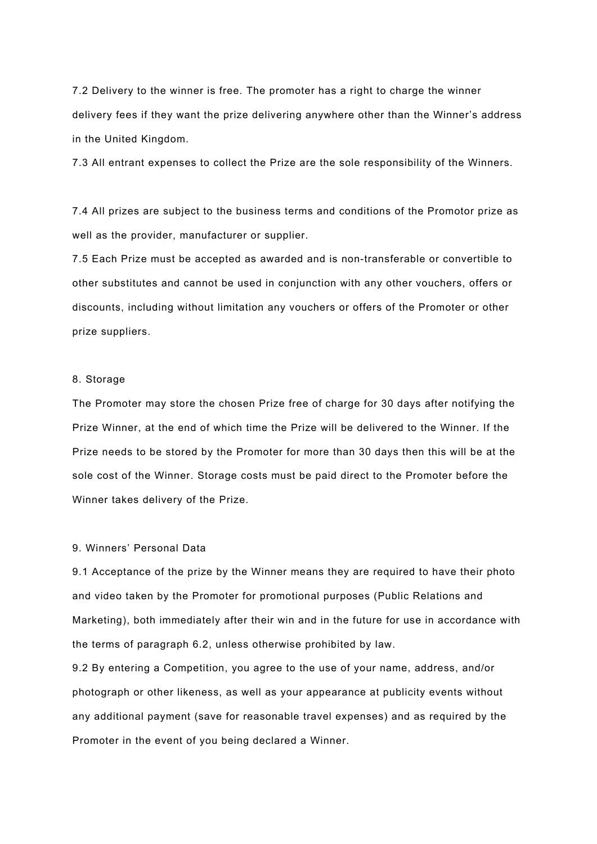7.2 Delivery to the winner is free. The promoter has a right to charge the winner delivery fees if they want the prize delivering anywhere other than the Winner's address in the United Kingdom.

7.3 All entrant expenses to collect the Prize are the sole responsibility of the Winners.

7.4 All prizes are subject to the business terms and conditions of the Promotor prize as well as the provider, manufacturer or supplier.

7.5 Each Prize must be accepted as awarded and is non-transferable or convertible to other substitutes and cannot be used in conjunction with any other vouchers, offers or discounts, including without limitation any vouchers or offers of the Promoter or other prize suppliers.

## 8. Storage

The Promoter may store the chosen Prize free of charge for 30 days after notifying the Prize Winner, at the end of which time the Prize will be delivered to the Winner. If the Prize needs to be stored by the Promoter for more than 30 days then this will be at the sole cost of the Winner. Storage costs must be paid direct to the Promoter before the Winner takes delivery of the Prize.

# 9. Winners' Personal Data

9.1 Acceptance of the prize by the Winner means they are required to have their photo and video taken by the Promoter for promotional purposes (Public Relations and Marketing), both immediately after their win and in the future for use in accordance with the terms of paragraph 6.2, unless otherwise prohibited by law.

9.2 By entering a Competition, you agree to the use of your name, address, and/or photograph or other likeness, as well as your appearance at publicity events without any additional payment (save for reasonable travel expenses) and as required by the Promoter in the event of you being declared a Winner.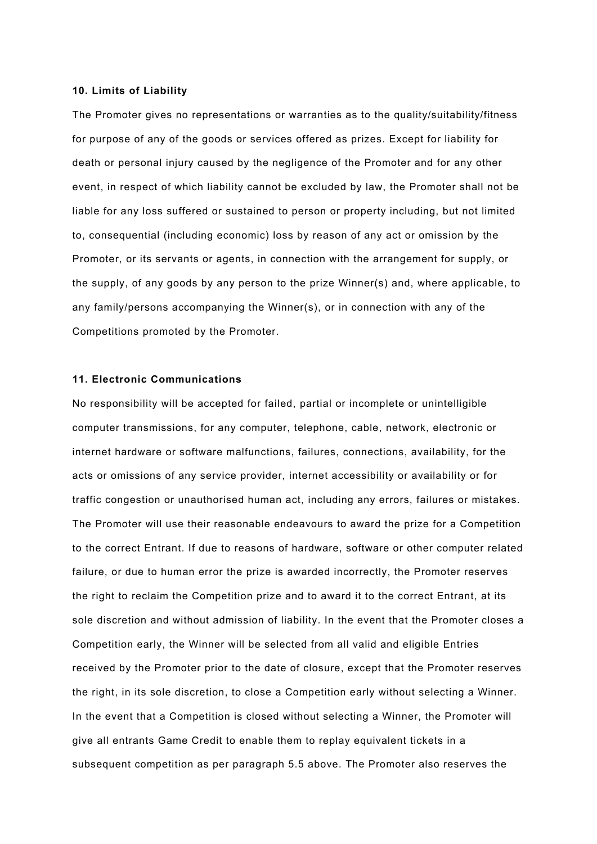#### **10. Limits of Liability**

The Promoter gives no representations or warranties as to the quality/suitability/fitness for purpose of any of the goods or services offered as prizes. Except for liability for death or personal injury caused by the negligence of the Promoter and for any other event, in respect of which liability cannot be excluded by law, the Promoter shall not be liable for any loss suffered or sustained to person or property including, but not limited to, consequential (including economic) loss by reason of any act or omission by the Promoter, or its servants or agents, in connection with the arrangement for supply, or the supply, of any goods by any person to the prize Winner(s) and, where applicable, to any family/persons accompanying the Winner(s), or in connection with any of the Competitions promoted by the Promoter.

#### **11. Electronic Communications**

No responsibility will be accepted for failed, partial or incomplete or unintelligible computer transmissions, for any computer, telephone, cable, network, electronic or internet hardware or software malfunctions, failures, connections, availability, for the acts or omissions of any service provider, internet accessibility or availability or for traffic congestion or unauthorised human act, including any errors, failures or mistakes. The Promoter will use their reasonable endeavours to award the prize for a Competition to the correct Entrant. If due to reasons of hardware, software or other computer related failure, or due to human error the prize is awarded incorrectly, the Promoter reserves the right to reclaim the Competition prize and to award it to the correct Entrant, at its sole discretion and without admission of liability. In the event that the Promoter closes a Competition early, the Winner will be selected from all valid and eligible Entries received by the Promoter prior to the date of closure, except that the Promoter reserves the right, in its sole discretion, to close a Competition early without selecting a Winner. In the event that a Competition is closed without selecting a Winner, the Promoter will give all entrants Game Credit to enable them to replay equivalent tickets in a subsequent competition as per paragraph 5.5 above. The Promoter also reserves the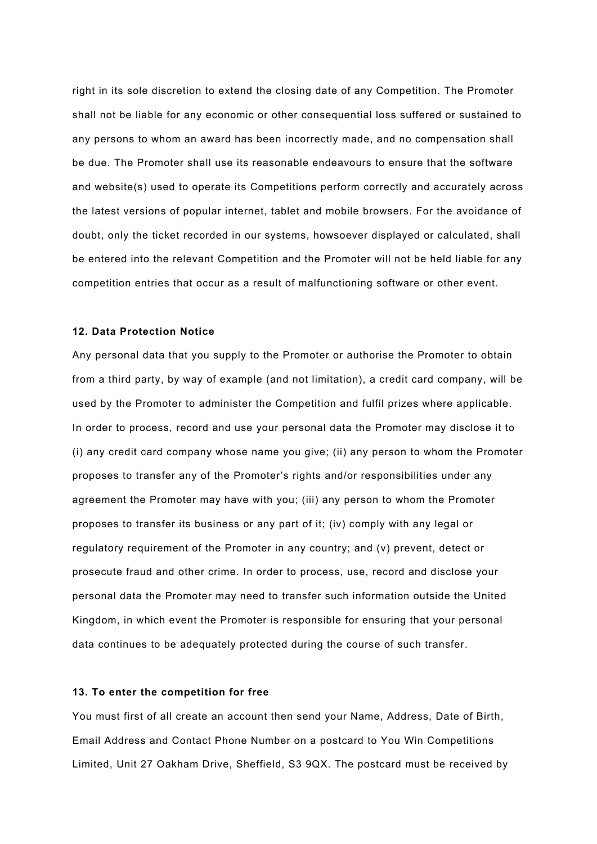right in its sole discretion to extend the closing date of any Competition. The Promoter shall not be liable for any economic or other consequential loss suffered or sustained to any persons to whom an award has been incorrectly made, and no compensation shall be due. The Promoter shall use its reasonable endeavours to ensure that the software and website(s) used to operate its Competitions perform correctly and accurately across the latest versions of popular internet, tablet and mobile browsers. For the avoidance of doubt, only the ticket recorded in our systems, howsoever displayed or calculated, shall be entered into the relevant Competition and the Promoter will not be held liable for any competition entries that occur as a result of malfunctioning software or other event.

#### **12. Data Protection Notice**

Any personal data that you supply to the Promoter or authorise the Promoter to obtain from a third party, by way of example (and not limitation), a credit card company, will be used by the Promoter to administer the Competition and fulfil prizes where applicable. In order to process, record and use your personal data the Promoter may disclose it to (i) any credit card company whose name you give; (ii) any person to whom the Promoter proposes to transfer any of the Promoter's rights and/or responsibilities under any agreement the Promoter may have with you; (iii) any person to whom the Promoter proposes to transfer its business or any part of it; (iv) comply with any legal or regulatory requirement of the Promoter in any country; and (v) prevent, detect or prosecute fraud and other crime. In order to process, use, record and disclose your personal data the Promoter may need to transfer such information outside the United Kingdom, in which event the Promoter is responsible for ensuring that your personal data continues to be adequately protected during the course of such transfer.

#### **13. To enter the competition for free**

You must first of all create an account then send your Name, Address, Date of Birth, Email Address and Contact Phone Number on a postcard to You Win Competitions Limited, Unit 27 Oakham Drive, Sheffield, S3 9QX. The postcard must be received by